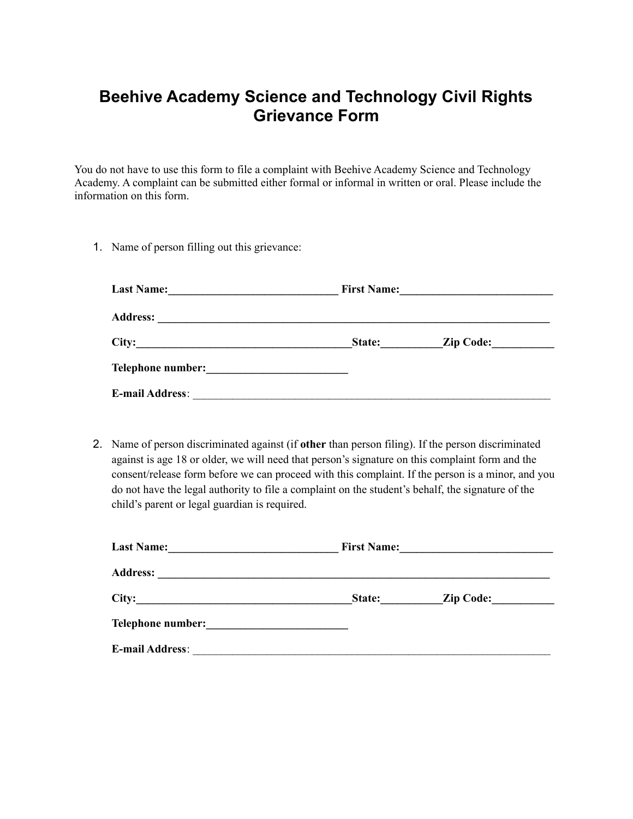## **Beehive Academy Science and Technology Civil Rights Grievance Form**

You do not have to use this form to file a complaint with Beehive Academy Science and Technology Academy. A complaint can be submitted either formal or informal in written or oral. Please include the information on this form.

1. Name of person filling out this grievance:

| <b>Last Name:</b><br><u> 1980 - Jan Barnett, mars et al. (</u> |        | First Name: |
|----------------------------------------------------------------|--------|-------------|
|                                                                |        |             |
| City:                                                          | State: | Zip Code:   |
| Telephone number: New York Changes and Separate Section 1989.  |        |             |
| <b>E-mail Address:</b>                                         |        |             |

2. Name of person discriminated against (if **other** than person filing). If the person discriminated against is age 18 or older, we will need that person's signature on this complaint form and the consent/release form before we can proceed with this complaint. If the person is a minor, and you do not have the legal authority to file a complaint on the student's behalf, the signature of the child's parent or legal guardian is required.

| <b>Last Name:</b><br><u> 1986 - Johann Johann Stoff, deutscher Amerikaanse komme</u> |        | First Name: |
|--------------------------------------------------------------------------------------|--------|-------------|
|                                                                                      |        |             |
| City:                                                                                | State: | Zip Code:   |
|                                                                                      |        |             |
| <b>E-mail Address:</b>                                                               |        |             |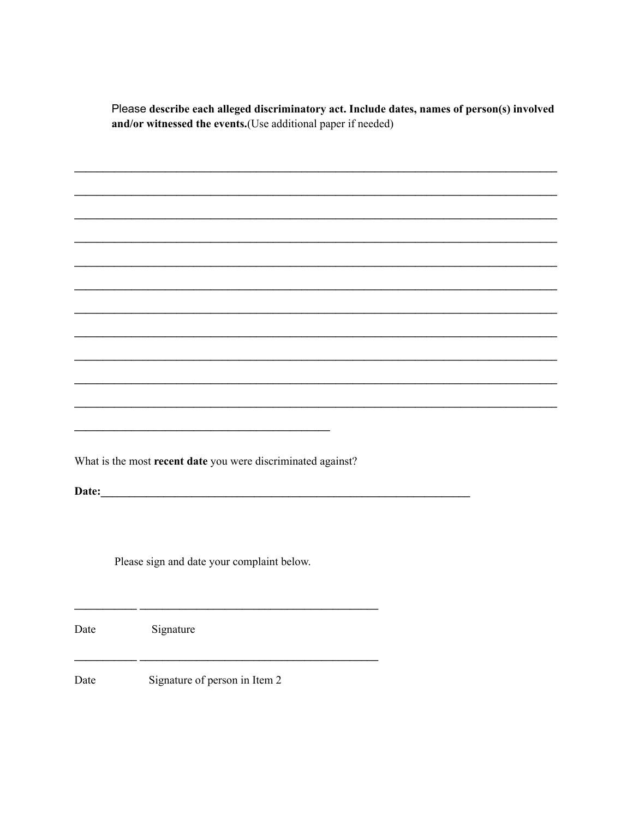Please describe each alleged discriminatory act. Include dates, names of person(s) involved and/or witnessed the events.(Use additional paper if needed)

 $\overline{\phantom{a}}$ 

What is the most recent date you were discriminated against?

Date: experience and the second contract of the second contract of the second contract of the second contract of the second contract of the second contract of the second contract of the second contract of the second contra

Please sign and date your complaint below.

Date Signature  $-$ Date Signature of person in Item 2